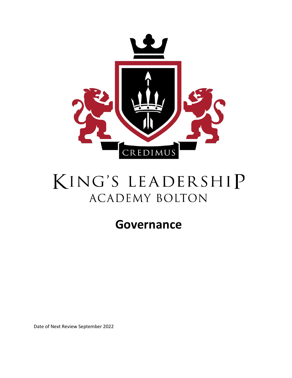

# KING'S LEADERSHIP **ACADEMY BOLTON**

# **Governance**

Date of Next Review September 2022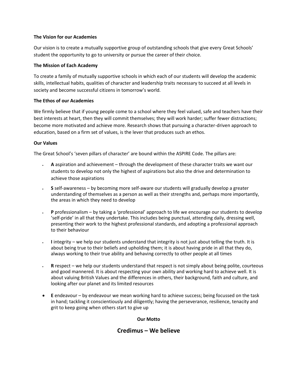# **The Vision for our Academies**

Our vision is to create a mutually supportive group of outstanding schools that give every Great Schools' student the opportunity to go to university or pursue the career of their choice.

# **The Mission of Each Academy**

To create a family of mutually supportive schools in which each of our students will develop the academic skills, intellectual habits, qualities of character and leadership traits necessary to succeed at all levels in society and become successful citizens in tomorrow's world.

# **The Ethos of our Academies**

We firmly believe that if young people come to a school where they feel valued, safe and teachers have their best interests at heart, then they will commit themselves; they will work harder; suffer fewer distractions; become more motivated and achieve more. Research shows that pursuing a character-driven approach to education, based on a firm set of values, is the lever that produces such an ethos.

# **Our Values**

The Great School's 'seven pillars of character' are bound within the ASPIRE Code. The pillars are:

- **A** aspiration and achievement through the development of these character traits we want our students to develop not only the highest of aspirations but also the drive and determination to achieve those aspirations
- **S** self-awareness by becoming more self-aware our students will gradually develop a greater understanding of themselves as a person as well as their strengths and, perhaps more importantly, the areas in which they need to develop
- **P** professionalism by taking a 'professional' approach to life we encourage our students to develop 'self-pride' in all that they undertake. This includes being punctual, attending daily, dressing well, presenting their work to the highest professional standards, and adopting a professional approach to their behaviour
- **I** integrity we help our students understand that integrity is not just about telling the truth. It is about being true to their beliefs and upholding them; it is about having pride in all that they do, always working to their true ability and behaving correctly to other people at all times
- **R** respect we help our students understand that respect is not simply about being polite, courteous and good mannered. It is about respecting your own ability and working hard to achieve well. It is about valuing British Values and the differences in others, their background, faith and culture, and looking after our planet and its limited resources
- **E** endeavour by endeavour we mean working hard to achieve success; being focussed on the task in hand; tackling it conscientiously and diligently; having the perseverance, resilience, tenacity and grit to keep going when others start to give up

## **Our Motto**

# **Credimus – We believe**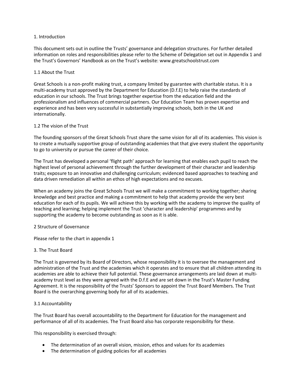#### 1. Introduction

This document sets out in outline the Trusts' governance and delegation structures. For further detailed information on roles and responsibilities please refer to the Scheme of Delegation set out in Appendix 1 and the Trust's Governors' Handbook as on the Trust's website: www.greatschoolstrust.com

#### 1.1 About the Trust

Great Schools is a non-profit making trust, a company limited by guarantee with charitable status. It is a multi-academy trust approved by the Department for Education (D.f.E) to help raise the standards of education in our schools. The Trust brings together expertise from the education field and the professionalism and influences of commercial partners. Our Education Team has proven expertise and experience and has been very successful in substantially improving schools, both in the UK and internationally.

#### 1.2 The vision of the Trust

The founding sponsors of the Great Schools Trust share the same vision for all of its academies. This vision is to create a mutually supportive group of outstanding academies that that give every student the opportunity to go to university or pursue the career of their choice.

The Trust has developed a personal 'flight path' approach for learning that enables each pupil to reach the highest level of personal achievement through the further development of their character and leadership traits; exposure to an innovative and challenging curriculum; evidenced based approaches to teaching and data driven remediation all within an ethos of high expectations and no excuses.

When an academy joins the Great Schools Trust we will make a commitment to working together; sharing knowledge and best practice and making a commitment to help that academy provide the very best education for each of its pupils. We will achieve this by working with the academy to improve the quality of teaching and learning; helping implement the Trust 'character and leadership' programmes and by supporting the academy to become outstanding as soon as it is able.

#### 2 Structure of Governance

Please refer to the chart in appendix 1

## 3. The Trust Board

The Trust is governed by its Board of Directors, whose responsibility it is to oversee the management and administration of the Trust and the academies which it operates and to ensure that all children attending its academies are able to achieve their full potential. These governance arrangements are laid down at multiacademy trust level as they were agreed with the D.f.E and are set down in the Trust's Master Funding Agreement. It is the responsibility of the Trusts' Sponsors to appoint the Trust Board Members. The Trust Board is the overarching governing body for all of its academies.

#### 3.1 Accountability

The Trust Board has overall accountability to the Department for Education for the management and performance of all of its academies. The Trust Board also has corporate responsibility for these.

This responsibility is exercised through:

- The determination of an overall vision, mission, ethos and values for its academies
- The determination of guiding policies for all academies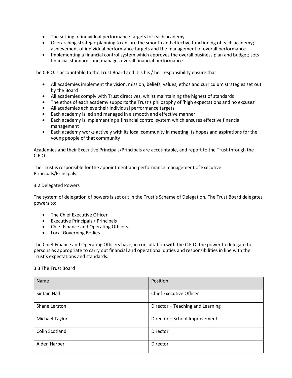- The setting of individual performance targets for each academy
- Overarching strategic planning to ensure the smooth and effective functioning of each academy; achievement of individual performance targets and the management of overall performance
- Implementing a financial control system which approves the overall business plan and budget; sets financial standards and manages overall financial performance

The C.E.O.is accountable to the Trust Board and it is his / her responsibility ensure that:

- All academies implement the vision, mission, beliefs, values, ethos and curriculum strategies set out by the Board
- All academies comply with Trust directives, whilst maintaining the highest of standards
- The ethos of each academy supports the Trust's philosophy of 'high expectations and no excuses'
- All academies achieve their individual performance targets
- Each academy is led and managed in a smooth and effective manner
- Each academy is implementing a financial control system which ensures effective financial management
- Each academy works actively with its local community in meeting its hopes and aspirations for the young people of that community

Academies and their Executive Principals/Principals are accountable, and report to the Trust through the C.E.O.

The Trust is responsible for the appointment and performance management of Executive Principals/Principals.

#### 3.2 Delegated Powers

The system of delegation of powers is set out in the Trust's Scheme of Delegation. The Trust Board delegates powers to:

- The Chief Executive Officer
- Executive Principals / Principals
- Chief Finance and Operating Officers
- Local Governing Bodies

The Chief Finance and Operating Officers have, in consultation with the C.E.O. the power to delegate to persons as appropriate to carry out financial and operational duties and responsibilities in line with the Trust's expectations and standards.

#### 3.3 The Trust Board

| Name           | Position                         |  |
|----------------|----------------------------------|--|
| Sir Iain Hall  | <b>Chief Executive Officer</b>   |  |
| Shane Lerston  | Director - Teaching and Learning |  |
| Michael Taylor | Director - School Improvement    |  |
| Colin Scotland | Director                         |  |
| Aiden Harper   | Director                         |  |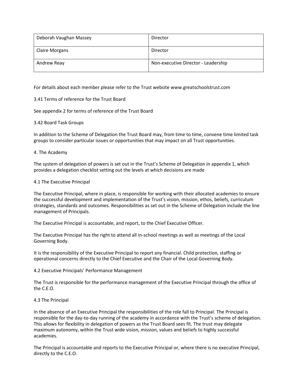| Deborah Vaughan Massey | Director                            |  |
|------------------------|-------------------------------------|--|
| <b>Claire Morgans</b>  | Director                            |  |
| Andrew Reay            | Non-executive Director - Leadership |  |

For details about each member please refer to the Trust website www.greatschoolstrust.com

## 3.41 Terms of reference for the Trust Board

See appendix 2 for terms of reference of the Trust Board

#### 3.42 Board Task Groups

In addition to the Scheme of Delegation the Trust Board may, from time to time, convene time limited task groups to consider particular issues or opportunities that may impact on all Trust opportunities.

#### 4. The Academy

The system of delegation of powers is set out in the Trust's Scheme of Delegation in appendix 1, which provides a delegation checklist setting out the levels at which decisions are made

#### 4.1 The Executive Principal

The Executive Principal, where in place, is responsible for working with their allocated academies to ensure the successful development and implementation of the Trust's vision, mission, ethos, beliefs, curriculum strategies, standards and outcomes. Responsibilities as set out in the Scheme of Delegation include the line management of Principals.

The Executive Principal is accountable, and report, to the Chief Executive Officer.

The Executive Principal has the right to attend all in-school meetings as well as meetings of the Local Governing Body.

It is the responsibility of the Executive Principal to report any financial. Child protection, staffing or operational concerns directly to the Chief Executive and the Chair of the Local Governing Body.

4.2 Executive Principals' Performance Management

The Trust is responsible for the performance management of the Executive Principal through the office of the C.E.O.

#### 4.3 The Principal

In the absence of an Executive Principal the responsibilities of the role fall to Principal. The Principal is responsible for the day-to-day running of the academy in accordance with the Trust's scheme of delegation. This allows for flexibility in delegation of powers as the Trust Board sees fit. The trust may delegate maximum autonomy, within the Trust wide vision, mission, values and beliefs to highly successful academies.

The Principal is accountable and reports to the Executive Principal or, where there is no executive Principal, directly to the C.E.O.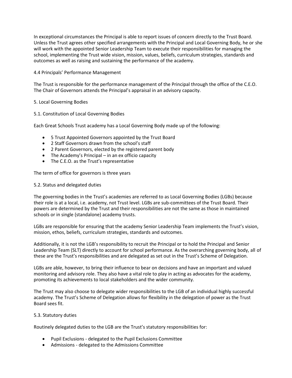In exceptional circumstances the Principal is able to report issues of concern directly to the Trust Board. Unless the Trust agrees other specified arrangements with the Principal and Local Governing Body, he or she will work with the appointed Senior Leadership Team to execute their responsibilities for managing the school, implementing the Trust wide vision, mission, values, beliefs, curriculum strategies, standards and outcomes as well as raising and sustaining the performance of the academy.

# 4.4 Principals' Performance Management

The Trust is responsible for the performance management of the Principal through the office of the C.E.O. The Chair of Governors attends the Principal's appraisal in an advisory capacity.

## 5. Local Governing Bodies

## 5.1. Constitution of Local Governing Bodies

Each Great Schools Trust academy has a Local Governing Body made up of the following:

- 5 Trust Appointed Governors appointed by the Trust Board
- 2 Staff Governors drawn from the school's staff
- 2 Parent Governors, elected by the registered parent body
- The Academy's Principal in an ex officio capacity
- The C.E.O. as the Trust's representative

The term of office for governors is three years

#### 5.2. Status and delegated duties

The governing bodies in the Trust's academies are referred to as Local Governing Bodies (LGBs) because their role is at a local, i.e. academy, not Trust level. LGBs are sub-committees of the Trust Board. Their powers are determined by the Trust and their responsibilities are not the same as those in maintained schools or in single (standalone) academy trusts.

LGBs are responsible for ensuring that the academy Senior Leadership Team implements the Trust's vision, mission, ethos, beliefs, curriculum strategies, standards and outcomes.

Additionally, it is not the LGB's responsibility to recruit the Principal or to hold the Principal and Senior Leadership Team (SLT) directly to account for school performance. As the overarching governing body, all of these are the Trust's responsibilities and are delegated as set out in the Trust's Scheme of Delegation.

LGBs are able, however, to bring their influence to bear on decisions and have an important and valued monitoring and advisory role. They also have a vital role to play in acting as advocates for the academy, promoting its achievements to local stakeholders and the wider community.

The Trust may also choose to delegate wider responsibilities to the LGB of an individual highly successful academy. The Trust's Scheme of Delegation allows for flexibility in the delegation of power as the Trust Board sees fit.

## 5.3. Statutory duties

Routinely delegated duties to the LGB are the Trust's statutory responsibilities for:

- Pupil Exclusions delegated to the Pupil Exclusions Committee
- Admissions delegated to the Admissions Committee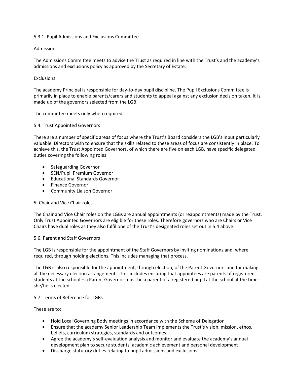#### 5.3.1. Pupil Admissions and Exclusions Committee

#### Admissions

The Admissions Committee meets to advise the Trust as required in line with the Trust's and the academy's admissions and exclusions policy as approved by the Secretary of Estate.

#### **Exclusions**

The academy Principal is responsible for day-to-day pupil discipline. The Pupil Exclusions Committee is primarily in place to enable parents/carers and students to appeal against any exclusion decision taken. It is made up of the governors selected from the LGB.

The committee meets only when required.

#### 5.4. Trust Appointed Governors

There are a number of specific areas of focus where the Trust's Board considers the LGB's input particularly valuable. Directors wish to ensure that the skills related to these areas of focus are consistently in place. To achieve this, the Trust Appointed Governors, of which there are five on each LGB, have specific delegated duties covering the following roles:

- Safeguarding Governor
- SEN/Pupil Premium Governor
- Educational Standards Governor
- Finance Governor
- Community Liaison Governor

#### 5. Chair and Vice Chair roles

The Chair and Vice Chair roles on the LGBs are annual appointments (or reappointments) made by the Trust. Only Trust Appointed Governors are eligible for these roles. Therefore governors who are Chairs or Vice Chairs have dual roles as they also fulfil one of the Trust's designated roles set out in 5.4 above.

#### 5.6. Parent and Staff Governors

The LGB is responsible for the appointment of the Staff Governors by inviting nominations and, where required, through holding elections. This includes managing that process.

The LGB is also responsible for the appointment, through election, of the Parent Governors and for making all the necessary election arrangements. This includes ensuring that appointees are parents of registered students at the school – a Parent Governor must be a parent of a registered pupil at the school at the time she/he is elected.

## 5.7. Terms of Reference for LGBs

These are to:

- Hold Local Governing Body meetings in accordance with the Scheme of Delegation
- Ensure that the academy Senior Leadership Team implements the Trust's vision, mission, ethos, beliefs, curriculum strategies, standards and outcomes
- Agree the academy's self-evaluation analysis and monitor and evaluate the academy's annual development plan to secure students' academic achievement and personal development
- Discharge statutory duties relating to pupil admissions and exclusions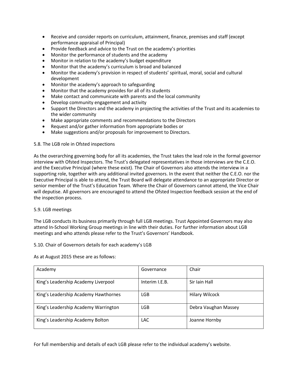- Receive and consider reports on curriculum, attainment, finance, premises and staff (except performance appraisal of Principal)
- Provide feedback and advice to the Trust on the academy's priorities
- Monitor the performance of students and the academy
- Monitor in relation to the academy's budget expenditure
- Monitor that the academy's curriculum is broad and balanced
- Monitor the academy's provision in respect of students' spiritual, moral, social and cultural development
- Monitor the academy's approach to safeguarding
- Monitor that the academy provides for all of its students
- Make contact and communicate with parents and the local community
- Develop community engagement and activity
- Support the Directors and the academy in projecting the activities of the Trust and its academies to the wider community
- Make appropriate comments and recommendations to the Directors
- Request and/or gather information from appropriate bodies or
- Make suggestions and/or proposals for improvement to Directors.

## 5.8. The LGB role in Ofsted inspections

As the overarching governing body for all its academies, the Trust takes the lead role in the formal governor interview with Ofsted Inspectors. The Trust's delegated representatives in those interviews are the C.E.O. and the Executive Principal (where these exist). The Chair of Governors also attends the interview in a supporting role, together with any additional invited governors. In the event that neither the C.E.O. nor the Executive Principal is able to attend, the Trust Board will delegate attendance to an appropriate Director or senior member of the Trust's Education Team. Where the Chair of Governors cannot attend, the Vice Chair will deputise. All governors are encouraged to attend the Ofsted Inspection feedback session at the end of the inspection process.

## 5.9. LGB meetings

The LGB conducts its business primarily through full LGB meetings. Trust Appointed Governors may also attend In-School Working Group meetings in line with their duties. For further information about LGB meetings and who attends please refer to the Trust's Governors' Handbook.

5.10. Chair of Governors details for each academy's LGB

As at August 2015 these are as follows:

| Academy                              | Governance     | Chair                 |
|--------------------------------------|----------------|-----------------------|
| King's Leadership Academy Liverpool  | Interim I.E.B. | Sir Iain Hall         |
| King's Leadership Academy Hawthornes | LGB            | <b>Hilary Wilcock</b> |
| King's Leadership Academy Warrington | LGB            | Debra Vaughan Massey  |
| King's Leadership Academy Bolton     | <b>LAC</b>     | Joanne Hornby         |

For full membership and details of each LGB please refer to the individual academy's website.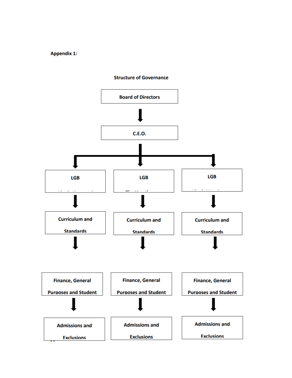**Appendix 1:** 



**Structure of Governance**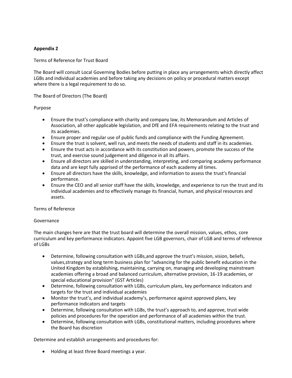# **Appendix 2**

Terms of Reference for Trust Board

The Board will consult Local Governing Bodies before putting in place any arrangements which directly affect LGBs and individual academies and before taking any decisions on policy or procedural matters except where there is a legal requirement to do so.

## The Board of Directors (The Board)

#### Purpose

- Ensure the trust's compliance with charity and company law, its Memorandum and Articles of Association, all other applicable legislation, and DfE and EFA requirements relating to the trust and its academies.
- Ensure proper and regular use of public funds and compliance with the Funding Agreement.
- Ensure the trust is solvent, well run, and meets the needs of students and staff in its academies.
- Ensure the trust acts in accordance with its constitution and powers, promote the success of the trust, and exercise sound judgement and diligence in all its affairs.
- Ensure all directors are skilled in understanding, interpreting, and comparing academy performance data and are kept fully apprised of the performance of each academy all times.
- Ensure all directors have the skills, knowledge, and information to assess the trust's financial performance.
- Ensure the CEO and all senior staff have the skills, knowledge, and experience to run the trust and its individual academies and to effectively manage its financial, human, and physical resources and assets.

## Terms of Reference

#### Governance

The main changes here are that the trust board will determine the overall mission, values, ethos, core curriculum and key performance indicators. Appoint five LGB governors, chair of LGB and terms of reference of LGBs

- Determine, following consultation with LGBs,and approve the trust's mission, vision, beliefs, values,strategy and long term business plan for "advancing for the public benefit education in the United Kingdom by establishing, maintaining, carrying on, managing and developing mainstream academies offering a broad and balanced curriculum, alternative provision, 16-19 academies, or special educational provision" (GST Articles)
- Determine, following consultation with LGBs, curriculum plans, key performance indicators and targets for the trust and individual academies
- Monitor the trust's, and individual academy's, performance against approved plans, key performance indicators and targets
- Determine, following consultation with LGBs, the trust's approach to, and approve, trust wide policies and procedures for the operation and performance of all academies within the trust.
- Determine, following consultation with LGBs, constitutional matters, including procedures where the Board has discretion

Determine and establish arrangements and procedures for:

• Holding at least three Board meetings a year.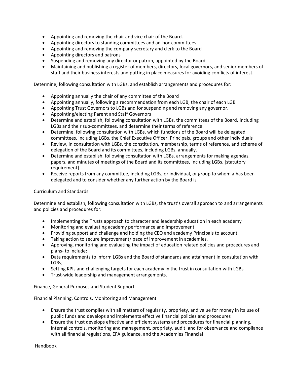- Appointing and removing the chair and vice chair of the Board.
- Appointing directors to standing committees and ad-hoc committees.
- Appointing and removing the company secretary and clerk to the Board
- Appointing directors and patrons
- Suspending and removing any director or patron, appointed by the Board.
- Maintaining and publishing a register of members, directors, local governors, and senior members of staff and their business interests and putting in place measures for avoiding conflicts of interest.

Determine, following consultation with LGBs, and establish arrangements and procedures for:

- Appointing annually the chair of any committee of the Board
- Appointing annually, following a recommendation from each LGB, the chair of each LGB
- Appointing Trust Governors to LGBs and for suspending and removing any governor.
- Appointing/electing Parent and Staff Governors
- Determine and establish, following consultation with LGBs, the committees of the Board, including LGBs and their sub-committees, and determine their terms of reference.
- Determine, following consultation with LGBs, which functions of the Board will be delegated committees, including LGBs, the Chief Executive Officer, Principals, groups and other individuals
- Review, in consultation with LGBs, the constitution, membership, terms of reference, and scheme of delegation of the Board and its committees, including LGBs, annually.
- Determine and establish, following consultation with LGBs, arrangements for making agendas, papers, and minutes of meetings of the Board and its committees, including LGBs. [statutory requirement]
- Receive reports from any committee, including LGBs, or individual, or group to whom a has been delegated and to consider whether any further action by the Board is

## Curriculum and Standards

Determine and establish, following consultation with LGBs, the trust's overall approach to and arrangements and policies and procedures for:

- Implementing the Trusts approach to character and leadership education in each academy
- Monitoring and evaluating academy performance and improvement
- Providing support and challenge and holding the CEO and academy Principals to account.
- Taking action to secure improvement/ pace of improvement in academies.
- Approving, monitoring and evaluating the impact of education related policies and procedures and plans- to include:
- Data requirements to inform LGBs and the Board of standards and attainment in consultation with LGBs;
- Setting KPIs and challenging targets for each academy in the trust in consultation with LGBs
- Trust-wide leadership and management arrangements.

Finance, General Purposes and Student Support

Financial Planning, Controls, Monitoring and Management

- Ensure the trust complies with all matters of regularity, propriety, and value for money in its use of public funds and develops and implements effective financial policies and procedures
- Ensure the trust develops effective and efficient systems and procedures for financial planning, internal controls, monitoring and management, propriety, audit, and for observance and compliance with all financial regulations, EFA guidance, and the Academies Financial

Handbook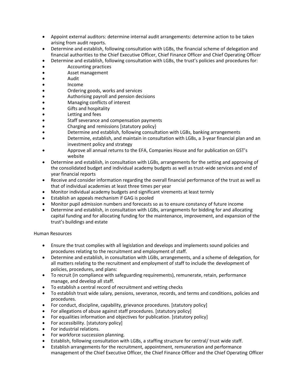- Appoint external auditors: determine internal audit arrangements: determine action to be taken arising from audit reports.
- Determine and establish, following consultation with LGBs, the financial scheme of delegation and financial authorities to the Chief Executive Officer, Chief Finance Officer and Chief Operating Officer
- Determine and establish, following consultation with LGBs, the trust's policies and procedures for:
- Accounting practices
- Asset management
- Audit
- Income
- Ordering goods, works and services
- Authorising payroll and pension decisions
- Managing conflicts of interest
- Gifts and hospitality
- Letting and fees
- Staff severance and compensation payments
- Charging and remissions [statutory policy]
- Determine and establish, following consultation with LGBs, banking arrangements
- Determine, establish, and maintain in consultation with LGBs, a 3-year financial plan and an investment policy and strategy
- Approve all annual returns to the EFA, Companies House and for publication on GST's website
- Determine and establish, in consultation with LGBs, arrangements for the setting and approving of the consolidated budget and individual academy budgets as well as trust-wide services and end of year financial reports
- Receive and consider information regarding the overall financial performance of the trust as well as that of individual academies at least three times per year
- Monitor individual academy budgets and significant virements at least termly
- Establish an appeals mechanism if GAG is pooled
- Monitor pupil admission numbers and forecasts so as to ensure constancy of future income
- Determine and establish, in consultation with LGBs, arrangements for bidding for and allocating capital funding and for allocating funding for the maintenance, improvement, and expansion of the trust's buildings and estate

## Human Resources

- Ensure the trust complies with all legislation and develops and implements sound policies and procedures relating to the recruitment and employment of staff.
- Determine and establish, in consultation with LGBs, arrangements, and a scheme of delegation, for all matters relating to the recruitment and employment of staff to include the development of policies, procedures, and plans:
- To recruit (in compliance with safeguarding requirements), remunerate, retain, performance manage, and develop all staff.
- To establish a central record of recruitment and vetting checks
- To establish trust wide salary, pensions, severance, records, and terms and conditions, policies and procedures.
- For conduct, discipline, capability, grievance procedures. [statutory policy]
- For allegations of abuse against staff procedures. [statutory policy]
- For equalities information and objectives for publication. [statutory policy]
- For accessibility. [statutory policy]
- For industrial relations.
- For workforce succession planning.
- Establish, following consultation with LGBs, a staffing structure for central/ trust wide staff.
- Establish arrangements for the recruitment, appointment, remuneration and performance management of the Chief Executive Officer, the Chief Finance Officer and the Chief Operating Officer